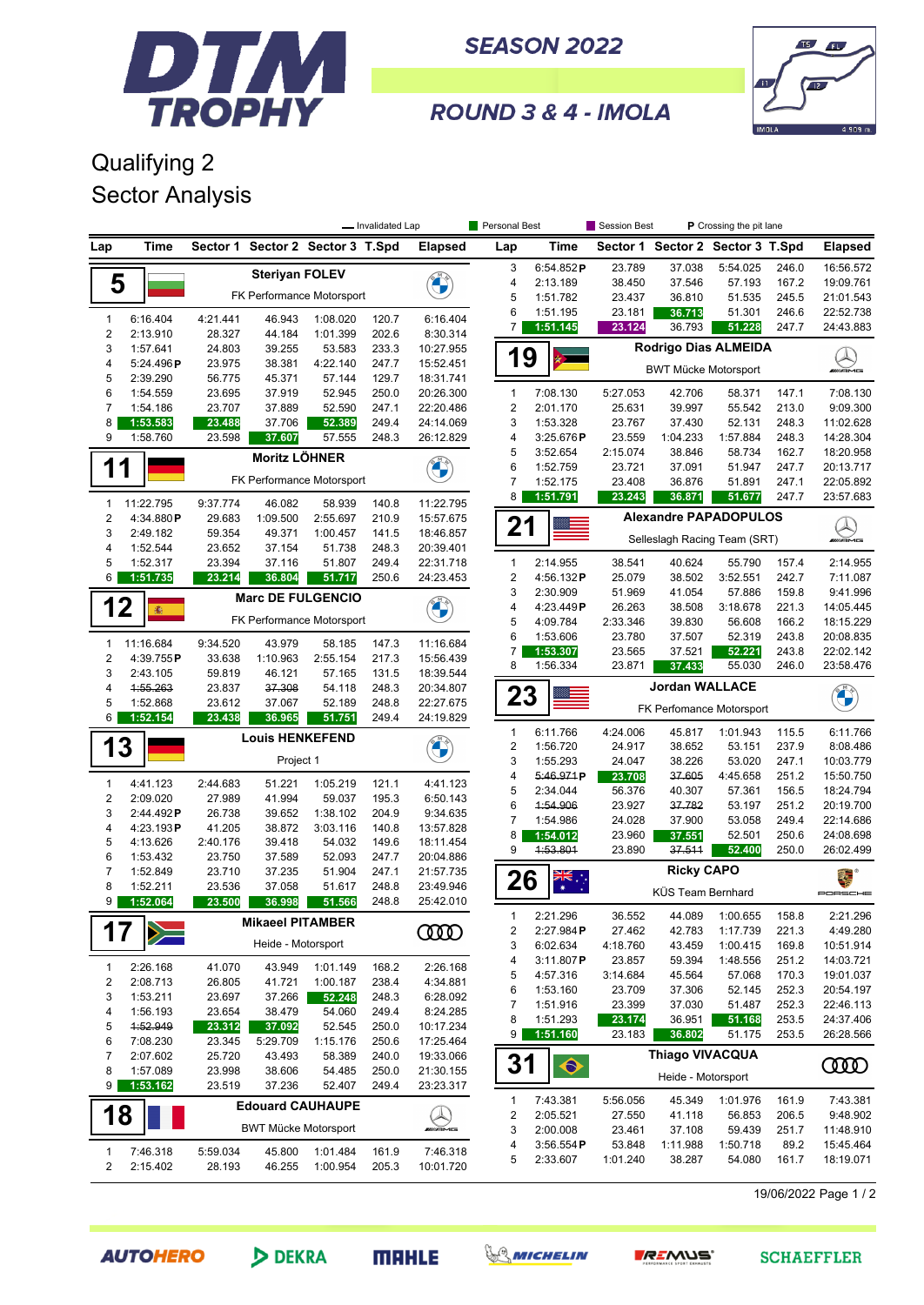

**SEASON 2022** 



ROUND 3 & 4 - IMOLA

## Qualifying 2 Sector Analysis

|                                |                      | - Invalidated Lap  |                             |                                  | Personal Best  |                                | Session Best                 |                       |                    |                                  |                      |                |                           |
|--------------------------------|----------------------|--------------------|-----------------------------|----------------------------------|----------------|--------------------------------|------------------------------|-----------------------|--------------------|----------------------------------|----------------------|----------------|---------------------------|
| Lap                            | Time                 |                    |                             | Sector 1 Sector 2 Sector 3 T.Spd |                | <b>Elapsed</b>                 | Lap                          | Time                  |                    | Sector 1 Sector 2 Sector 3 T.Spd |                      |                | <b>Elapsed</b>            |
|                                |                      |                    | <b>Steriyan FOLEV</b>       |                                  |                |                                | 3                            | 6:54.852 $P$          | 23.789             | 37.038                           | 5:54.025             | 246.0          | 16:56.572                 |
| 5                              |                      |                    |                             |                                  |                |                                | 4                            | 2:13.189              | 38.450             | 37.546                           | 57.193               | 167.2          | 19:09.761                 |
|                                |                      |                    |                             | FK Performance Motorsport        |                |                                | 5                            | 1:51.782              | 23.437             | 36.810                           | 51.535               | 245.5          | 21:01.543                 |
| $\mathbf{1}$                   | 6:16.404             | 4:21.441           | 46.943                      | 1:08.020                         | 120.7          | 6:16.404                       | 6                            | 1:51.195              | 23.181             | 36.713                           | 51.301               | 246.6          | 22:52.738                 |
| $\sqrt{2}$                     | 2:13.910             | 28.327             | 44.184                      | 1:01.399                         | 202.6          | 8:30.314                       | $\overline{7}$               | 1:51.145              | 23.124             | 36.793                           | 51.228               | 247.7          | 24:43.883                 |
| 3                              | 1:57.641             | 24.803             | 39.255                      | 53.583                           | 233.3          | 10:27.955                      | 19                           |                       |                    | <b>Rodrigo Dias ALMEIDA</b>      |                      |                |                           |
| 4                              | 5:24.496P            | 23.975             | 38.381                      | 4:22.140                         | 247.7          | 15:52.451                      |                              |                       |                    | <b>BWT Mücke Motorsport</b>      |                      |                |                           |
| 5<br>6                         | 2:39.290             | 56.775             | 45.371                      | 57.144<br>52.945                 | 129.7<br>250.0 | 18:31.741                      |                              | 7:08.130              |                    | 42.706                           |                      | 147.1          | 7:08.130                  |
| $\overline{7}$                 | 1:54.559<br>1:54.186 | 23.695<br>23.707   | 37.919<br>37.889            | 52.590                           | 247.1          | 20:26.300<br>22:20.486         | 1<br>$\overline{\mathbf{c}}$ | 2:01.170              | 5:27.053<br>25.631 | 39.997                           | 58.371<br>55.542     | 213.0          | 9:09.300                  |
| 8                              | 1:53.583             | 23.488             | 37.706                      | 52.389                           | 249.4          | 24:14.069                      | 3                            | 1:53.328              | 23.767             | 37.430                           | 52.131               | 248.3          | 11:02.628                 |
| 9                              | 1:58.760             | 23.598             | 37.607                      | 57.555                           | 248.3          | 26:12.829                      | 4                            | 3:25.676P             | 23.559             | 1:04.233                         | 1:57.884             | 248.3          | 14:28.304                 |
|                                |                      |                    | Moritz LÖHNER               |                                  |                | <b>CALCON</b>                  | 5                            | 3:52.654              | 2:15.074           | 38.846                           | 58.734               | 162.7          | 18:20.958                 |
| 1                              | 1                    |                    | FK Performance Motorsport   |                                  |                |                                | 6                            | 1:52.759              | 23.721             | 37.091                           | 51.947               | 247.7          | 20:13.717                 |
|                                |                      |                    |                             |                                  |                |                                | $\overline{7}$               | 1:52.175              | 23.408             | 36.876                           | 51.891               | 247.1          | 22:05.892                 |
| $\mathbf{1}$                   | 11:22.795            | 9:37.774           | 46.082                      | 58.939                           | 140.8          | 11:22.795                      | 8                            | 1:51.791              | 23.243             | 36.871                           | 51.677               | 247.7          | 23:57.683                 |
| $\overline{\mathbf{c}}$        | 4:34.880P            | 29.683             | 1:09.500                    | 2:55.697                         | 210.9          | 15:57.675                      | 21                           |                       |                    | <b>Alexandre PAPADOPULOS</b>     |                      |                |                           |
| 3                              | 2:49.182             | 59.354             | 49.371                      | 1:00.457                         | 141.5          | 18:46.857                      |                              |                       |                    | Selleslagh Racing Team (SRT)     |                      |                | $\bigotimes_{\mathbb{Z}}$ |
| 4<br>5                         | 1:52.544<br>1:52.317 | 23.652<br>23.394   | 37.154<br>37.116            | 51.738<br>51.807                 | 248.3<br>249.4 | 20:39.401<br>22:31.718         | $\mathbf{1}$                 | 2:14.955              | 38.541             | 40.624                           | 55.790               | 157.4          | 2:14.955                  |
| 6                              | 1:51.735             | 23.214             | 36.804                      | 51.717                           | 250.6          | 24:23.453                      | $\overline{\mathbf{c}}$      | 4:56.132P             | 25.079             | 38.502                           | 3:52.551             | 242.7          | 7:11.087                  |
|                                |                      |                    |                             |                                  |                |                                | 3                            | 2:30.909              | 51.969             | 41.054                           | 57.886               | 159.8          | 9:41.996                  |
| 12                             | 蠢                    |                    |                             | <b>Marc DE FULGENCIO</b>         |                |                                | 4                            | 4:23.449P             | 26.263             | 38.508                           | 3:18.678             | 221.3          | 14:05.445                 |
|                                |                      |                    |                             | FK Performance Motorsport        |                |                                | 5                            | 4:09.784              | 2:33.346           | 39.830                           | 56.608               | 166.2          | 18:15.229                 |
| $\mathbf{1}$                   | 11:16.684            | 9:34.520           | 43.979                      | 58.185                           | 147.3          | 11:16.684                      | 6                            | 1:53.606              | 23.780             | 37.507                           | 52.319               | 243.8          | 20:08.835                 |
| $\overline{\mathbf{c}}$        | 4:39.755P            | 33.638             | 1:10.963                    | 2:55.154                         | 217.3          | 15:56.439                      | $\overline{7}$<br>8          | 1:53.307<br>1:56.334  | 23.565<br>23.871   | 37.521<br>37.433                 | 52.221<br>55.030     | 243.8<br>246.0 | 22:02.142<br>23:58.476    |
| 3                              | 2:43.105             | 59.819             | 46.121                      | 57.165                           | 131.5          | 18:39.544                      |                              |                       |                    |                                  |                      |                |                           |
| 4                              | 1:55.263             | 23.837             | 37.308                      | 54.118                           | 248.3          | 20:34.807                      | 23                           |                       |                    | <b>Jordan WALLACE</b>            |                      |                | <b>CALCON</b>             |
| 5<br>6                         | 1:52.868<br>1:52.154 | 23.612<br>23.438   | 37.067<br>36.965            | 52.189<br>51.751                 | 248.8<br>249.4 | 22:27.675<br>24:19.829         |                              |                       |                    | FK Perfomance Motorsport         |                      |                |                           |
|                                |                      |                    | <b>Louis HENKEFEND</b>      |                                  |                |                                | 1                            | 6:11.766              | 4:24.006           | 45.817                           | 1:01.943             | 115.5          | 6:11.766                  |
| 13                             |                      |                    |                             |                                  |                | <b>Original</b>                | $\overline{c}$               | 1:56.720              | 24.917             | 38.652                           | 53.151               | 237.9          | 8:08.486                  |
|                                |                      |                    | Project 1                   |                                  |                |                                | 3                            | 1:55.293              | 24.047             | 38.226                           | 53.020               | 247.1          | 10:03.779                 |
| $\mathbf{1}$                   | 4:41.123             | 2:44.683           | 51.221                      | 1:05.219                         | 121.1          | 4:41.123                       | 4                            | 5:46.971P             | 23.708             | 37.605                           | 4:45.658             | 251.2          | 15:50.750                 |
| $\boldsymbol{2}$               | 2:09.020             | 27.989             | 41.994                      | 59.037                           | 195.3          | 6:50.143                       | 5<br>6                       | 2:34.044<br>1:54.906  | 56.376             | 40.307<br>37.782                 | 57.361<br>53.197     | 156.5<br>251.2 | 18:24.794                 |
| 3                              | 2:44.492P            | 26.738             | 39.652                      | 1:38.102                         | 204.9          | 9:34.635                       | 7                            | 1:54.986              | 23.927<br>24.028   | 37.900                           | 53.058               | 249.4          | 20:19.700<br>22:14.686    |
| 4                              | 4:23.193P            | 41.205             | 38.872                      | 3:03.116                         | 140.8          | 13:57.828                      | 8                            | 1:54.012              | 23.960             | 37.551                           | 52.501               | 250.6          | 24:08.698                 |
| 5<br>6                         | 4:13.626<br>1:53.432 | 2:40.176<br>23.750 | 39.418<br>37.589            | 54.032<br>52.093                 | 149.6<br>247.7 | 18:11.454<br>20:04.886         | 9                            | 4:53.801              | 23.890             | 37.511                           | 52.400               | 250.0          | 26:02.499                 |
| 7                              | 1:52.849             | 23.710             | 37.235                      | 51.904                           | 247.1          | 21:57.735                      |                              |                       |                    | <b>Ricky CAPO</b>                |                      |                |                           |
| 8                              | 1:52.211             | 23.536             | 37.058                      | 51.617                           | 248.8          | 23:49.946                      | 26                           | ▓                     |                    |                                  |                      |                | ä.                        |
| 9                              | 1:52.064             | 23.500             | 36.998                      | 51.566                           | 248.8          | 25:42.010                      |                              |                       |                    | KÜS Team Bernhard                |                      |                | PORSCHE                   |
|                                |                      |                    | <b>Mikaeel PITAMBER</b>     |                                  |                |                                | $\mathbf{1}$                 | 2:21.296              | 36.552             |                                  | 44.089 1:00.655      | 158.8          | 2:21.296                  |
| 17                             | $\gg$                |                    |                             |                                  |                | <b>COOD</b>                    | 2                            | 2:27.984P             | 27.462             | 42.783                           | 1:17.739             | 221.3          | 4:49.280                  |
|                                |                      |                    | Heide - Motorsport          |                                  |                |                                | 3                            | 6:02.634<br>3:11.807P | 4:18.760<br>23.857 | 43.459<br>59.394                 | 1:00.415<br>1:48.556 | 169.8<br>251.2 | 10:51.914<br>14:03.721    |
| $\mathbf{1}$                   | 2:26.168             | 41.070             | 43.949                      | 1:01.149                         | 168.2          | 2:26.168                       | 4<br>5                       | 4:57.316              | 3:14.684           | 45.564                           | 57.068               | 170.3          | 19:01.037                 |
| 2                              | 2:08.713             | 26.805             | 41.721                      | 1:00.187                         | 238.4          | 4:34.881                       | 6                            | 1:53.160              | 23.709             | 37.306                           | 52.145               | 252.3          | 20:54.197                 |
| 3                              | 1:53.211             | 23.697             | 37.266                      | 52.248<br>54.060                 | 248.3          | 6:28.092                       | 7                            | 1:51.916              | 23.399             | 37.030                           | 51.487               | 252.3          | 22:46.113                 |
| 4<br>5                         | 1:56.193<br>4:52.949 | 23.654<br>23.312   | 38.479<br>37.092            | 52.545                           | 249.4<br>250.0 | 8:24.285<br>10:17.234          | 8                            | 1:51.293              | 23.174             | 36.951                           | 51.168               | 253.5          | 24:37.406                 |
| 6                              | 7:08.230             | 23.345             | 5:29.709                    | 1:15.176                         | 250.6          | 17:25.464                      | 9                            | 1:51.160              | 23.183             | 36.802                           | 51.175               | 253.5          | 26:28.566                 |
| 7                              | 2:07.602             | 25.720             | 43.493                      | 58.389                           | 240.0          | 19:33.066                      |                              |                       |                    | <b>Thiago VIVACQUA</b>           |                      |                |                           |
| 8                              | 1:57.089             | 23.998             | 38.606                      | 54.485                           | 250.0          | 21:30.155                      | 31                           | $\blacklozenge$       |                    | Heide - Motorsport               |                      |                | ഝ                         |
| 9                              | 1:53.162             | 23.519             | 37.236                      | 52.407                           | 249.4          | 23:23.317                      |                              |                       |                    |                                  |                      |                |                           |
|                                |                      |                    |                             | <b>Edouard CAUHAUPE</b>          |                |                                | 1                            | 7:43.381              | 5:56.056           | 45.349                           | 1:01.976             | 161.9          | 7:43.381                  |
| 18                             |                      |                    | <b>BWT Mücke Motorsport</b> |                                  |                | $\bigotimes_{\mathsf{mrgnrg}}$ | 2<br>3                       | 2:05.521<br>2:00.008  | 27.550<br>23.461   | 41.118<br>37.108                 | 56.853<br>59.439     | 206.5<br>251.7 | 9:48.902<br>11:48.910     |
|                                |                      |                    |                             |                                  |                |                                | 4                            | 3:56.554P             | 53.848             | 1:11.988                         | 1:50.718             | 89.2           | 15:45.464                 |
| $\mathbf{1}$<br>$\overline{2}$ | 7:46.318<br>2:15.402 | 5:59.034<br>28.193 | 45.800<br>46.255            | 1:01.484<br>1:00.954             | 161.9<br>205.3 | 7:46.318<br>10:01.720          | 5                            | 2:33.607              | 1:01.240           | 38.287                           | 54.080               | 161.7          | 18:19.071                 |
|                                |                      |                    |                             |                                  |                |                                |                              |                       |                    |                                  |                      |                |                           |

19/06/2022 Page 1 / 2